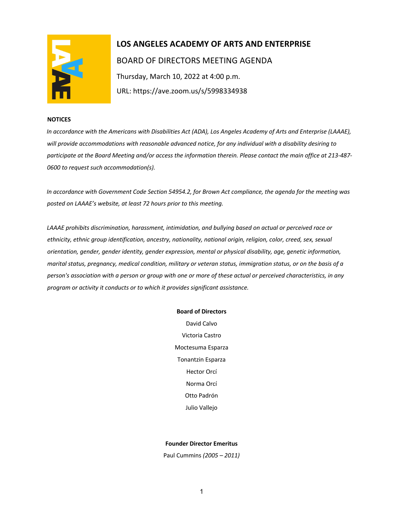

# **LOS ANGELES ACADEMY OF ARTS AND ENTERPRISE**  BOARD OF DIRECTORS MEETING AGENDA Thursday, March 10, 2022 at 4:00 p.m.

URL: https://ave.zoom.us/s/5998334938

## **NOTICES**

*In accordance with the Americans with Disabilities Act (ADA), Los Angeles Academy of Arts and Enterprise (LAAAE), will provide accommodations with reasonable advanced notice, for any individual with a disability desiring to participate at the Board Meeting and/or access the information therein. Please contact the main office at 213-487- 0600 to request such accommodation(s).* 

*In accordance with Government Code Section 54954.2, for Brown Act compliance, the agenda for the meeting was posted on LAAAE's website, at least 72 hours prior to this meeting.* 

*LAAAE prohibits discrimination, harassment, intimidation, and bullying based on actual or perceived race or ethnicity, ethnic group identification, ancestry, nationality, national origin, religion, color, creed, sex, sexual orientation, gender, gender identity, gender expression, mental or physical disability, age, genetic information, marital status, pregnancy, medical condition, military or veteran status, immigration status, or on the basis of a person's association with a person or group with one or more of these actual or perceived characteristics, in any program or activity it conducts or to which it provides significant assistance.* 

#### **Board of Directors**

David Calvo Victoria Castro Moctesuma Esparza Tonantzin Esparza Hector Orcí Norma Orcí Otto Padrón Julio Vallejo

## **Founder Director Emeritus**

Paul Cummins *(2005 – 2011)*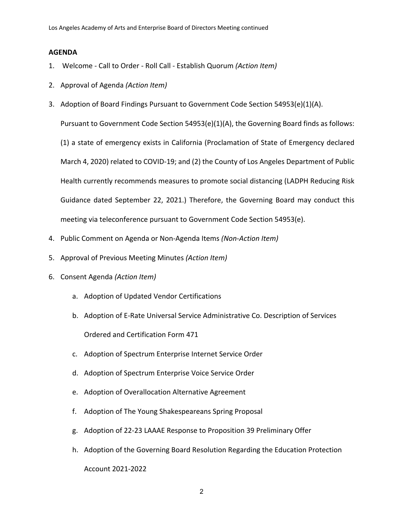# **AGENDA**

- 1. Welcome Call to Order Roll Call Establish Quorum *(Action Item)*
- 2. Approval of Agenda *(Action Item)*
- 3. Adoption of Board Findings Pursuant to Government Code Section 54953(e)(1)(A).

Pursuant to Government Code Section 54953(e)(1)(A), the Governing Board finds as follows:

(1) a state of emergency exists in California (Proclamation of State of Emergency declared March 4, 2020) related to COVID-19; and (2) the County of Los Angeles Department of Public Health currently recommends measures to promote social distancing (LADPH Reducing Risk Guidance dated September 22, 2021.) Therefore, the Governing Board may conduct this meeting via teleconference pursuant to Government Code Section 54953(e).

- 4. Public Comment on Agenda or Non-Agenda Items *(Non-Action Item)*
- 5. Approval of Previous Meeting Minutes *(Action Item)*
- 6. Consent Agenda *(Action Item)*
	- a. Adoption of Updated Vendor Certifications
	- b. Adoption of E-Rate Universal Service Administrative Co. Description of Services Ordered and Certification Form 471
	- c. Adoption of Spectrum Enterprise Internet Service Order
	- d. Adoption of Spectrum Enterprise Voice Service Order
	- e. Adoption of Overallocation Alternative Agreement
	- f. Adoption of The Young Shakespeareans Spring Proposal
	- g. Adoption of 22-23 LAAAE Response to Proposition 39 Preliminary Offer
	- h. Adoption of the Governing Board Resolution Regarding the Education Protection

Account 2021-2022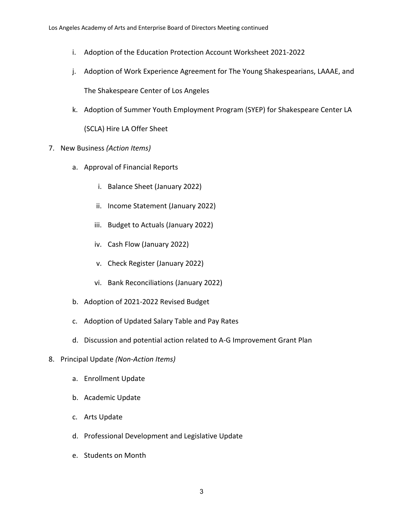- i. Adoption of the Education Protection Account Worksheet 2021-2022
- j. Adoption of Work Experience Agreement for The Young Shakespearians, LAAAE, and

The Shakespeare Center of Los Angeles

- k. Adoption of Summer Youth Employment Program (SYEP) for Shakespeare Center LA (SCLA) Hire LA Offer Sheet
- 7. New Business *(Action Items)*
	- a. Approval of Financial Reports
		- i. Balance Sheet (January 2022)
		- ii. Income Statement (January 2022)
		- iii. Budget to Actuals (January 2022)
		- iv. Cash Flow (January 2022)
		- v. Check Register (January 2022)
		- vi. Bank Reconciliations (January 2022)
	- b. Adoption of 2021-2022 Revised Budget
	- c. Adoption of Updated Salary Table and Pay Rates
	- d. Discussion and potential action related to A-G Improvement Grant Plan
- 8. Principal Update *(Non-Action Items)*
	- a. Enrollment Update
	- b. Academic Update
	- c. Arts Update
	- d. Professional Development and Legislative Update
	- e. Students on Month